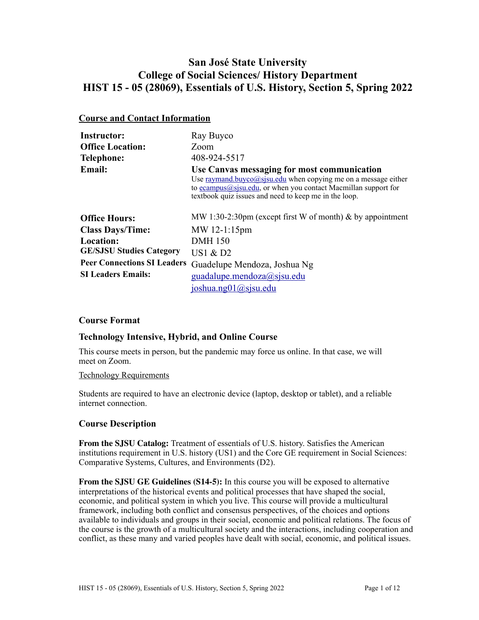# **San José State University College of Social Sciences/ History Department HIST 15 - 05 (28069), Essentials of U.S. History, Section 5, Spring 2022**

# **Course and Contact Information**

| <b>Instructor:</b>                 | Ray Buyco                                                                                                                                                                                                                                      |
|------------------------------------|------------------------------------------------------------------------------------------------------------------------------------------------------------------------------------------------------------------------------------------------|
| <b>Office Location:</b>            | Zoom                                                                                                                                                                                                                                           |
| <b>Telephone:</b>                  | 408-924-5517                                                                                                                                                                                                                                   |
| <b>Email:</b>                      | Use Canvas messaging for most communication<br>Use raymand.buyco@sjsu.edu when copying me on a message either<br>to ecampus $(a)$ sisu.edu, or when you contact Macmillan support for<br>textbook quiz issues and need to keep me in the loop. |
| <b>Office Hours:</b>               | MW 1:30-2:30pm (except first W of month) $\&$ by appointment                                                                                                                                                                                   |
| <b>Class Days/Time:</b>            | MW 12-1:15pm                                                                                                                                                                                                                                   |
| <b>Location:</b>                   | <b>DMH</b> 150                                                                                                                                                                                                                                 |
| <b>GE/SJSU Studies Category</b>    | US1 $\&$ D2                                                                                                                                                                                                                                    |
| <b>Peer Connections SI Leaders</b> | Guadelupe Mendoza, Joshua Ng                                                                                                                                                                                                                   |
| <b>SI Leaders Emails:</b>          | guadalupe.mendoza@sjsu.edu<br>ioshua.ng01@sisu.edu                                                                                                                                                                                             |

# **Course Format**

# **Technology Intensive, Hybrid, and Online Course**

This course meets in person, but the pandemic may force us online. In that case, we will meet on Zoom.

#### Technology Requirements

Students are required to have an electronic device (laptop, desktop or tablet), and a reliable internet connection.

# **Course Description**

**From the SJSU Catalog:** Treatment of essentials of U.S. history. Satisfies the American institutions requirement in U.S. history (US1) and the Core GE requirement in Social Sciences: Comparative Systems, Cultures, and Environments (D2).

**From the SJSU GE Guidelines (S14-5):** In this course you will be exposed to alternative interpretations of the historical events and political processes that have shaped the social, economic, and political system in which you live. This course will provide a multicultural framework, including both conflict and consensus perspectives, of the choices and options available to individuals and groups in their social, economic and political relations. The focus of the course is the growth of a multicultural society and the interactions, including cooperation and conflict, as these many and varied peoples have dealt with social, economic, and political issues.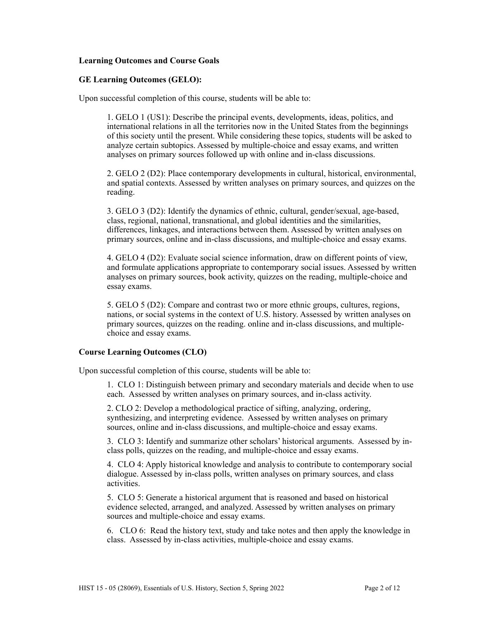### **Learning Outcomes and Course Goals**

#### **GE Learning Outcomes (GELO):**

Upon successful completion of this course, students will be able to:

1. GELO 1 (US1): Describe the principal events, developments, ideas, politics, and international relations in all the territories now in the United States from the beginnings of this society until the present. While considering these topics, students will be asked to analyze certain subtopics. Assessed by multiple-choice and essay exams, and written analyses on primary sources followed up with online and in-class discussions.

2. GELO 2 (D2): Place contemporary developments in cultural, historical, environmental, and spatial contexts. Assessed by written analyses on primary sources, and quizzes on the reading.

3. GELO 3 (D2): Identify the dynamics of ethnic, cultural, gender/sexual, age-based, class, regional, national, transnational, and global identities and the similarities, differences, linkages, and interactions between them. Assessed by written analyses on primary sources, online and in-class discussions, and multiple-choice and essay exams.

4. GELO 4 (D2): Evaluate social science information, draw on different points of view, and formulate applications appropriate to contemporary social issues. Assessed by written analyses on primary sources, book activity, quizzes on the reading, multiple-choice and essay exams.

5. GELO 5 (D2): Compare and contrast two or more ethnic groups, cultures, regions, nations, or social systems in the context of U.S. history. Assessed by written analyses on primary sources, quizzes on the reading. online and in-class discussions, and multiplechoice and essay exams.

#### **Course Learning Outcomes (CLO)**

Upon successful completion of this course, students will be able to:

1. CLO 1: Distinguish between primary and secondary materials and decide when to use each. Assessed by written analyses on primary sources, and in-class activity.

2. CLO 2: Develop a methodological practice of sifting, analyzing, ordering, synthesizing, and interpreting evidence. Assessed by written analyses on primary sources, online and in-class discussions, and multiple-choice and essay exams.

3. CLO 3: Identify and summarize other scholars' historical arguments. Assessed by inclass polls, quizzes on the reading, and multiple-choice and essay exams.

4. CLO 4: Apply historical knowledge and analysis to contribute to contemporary social dialogue. Assessed by in-class polls, written analyses on primary sources, and class activities.

5. CLO 5: Generate a historical argument that is reasoned and based on historical evidence selected, arranged, and analyzed. Assessed by written analyses on primary sources and multiple-choice and essay exams.

6. CLO 6: Read the history text, study and take notes and then apply the knowledge in class. Assessed by in-class activities, multiple-choice and essay exams.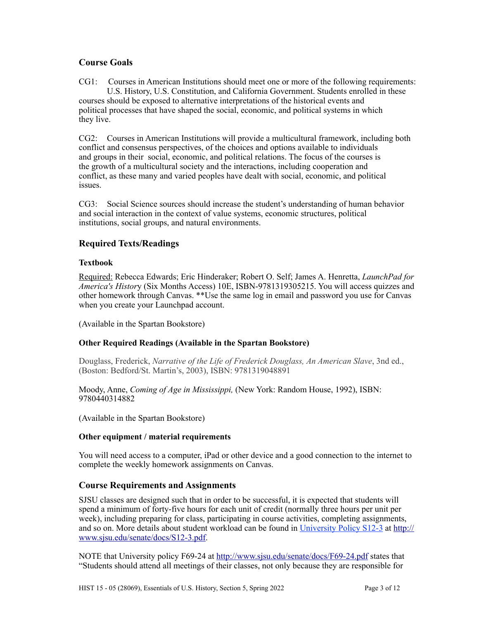# **Course Goals**

CG1: Courses in American Institutions should meet one or more of the following requirements: U.S. History, U.S. Constitution, and California Government. Students enrolled in these courses should be exposed to alternative interpretations of the historical events and political processes that have shaped the social, economic, and political systems in which they live.

CG2: Courses in American Institutions will provide a multicultural framework, including both conflict and consensus perspectives, of the choices and options available to individuals and groups in their social, economic, and political relations. The focus of the courses is the growth of a multicultural society and the interactions, including cooperation and conflict, as these many and varied peoples have dealt with social, economic, and political issues.

CG3: Social Science sources should increase the student's understanding of human behavior and social interaction in the context of value systems, economic structures, political institutions, social groups, and natural environments.

# **Required Texts/Readings**

# **Textbook**

Required: Rebecca Edwards; Eric Hinderaker; Robert O. Self; James A. Henretta, *LaunchPad for America's Histor*y (Six Months Access) 10E, ISBN-9781319305215. You will access quizzes and other homework through Canvas. \*\*Use the same log in email and password you use for Canvas when you create your Launchpad account.

(Available in the Spartan Bookstore)

# **Other Required Readings (Available in the Spartan Bookstore)**

Douglass, Frederick, *Narrative of the Life of Frederick Douglass, An American Slave*, 3nd ed., (Boston: Bedford/St. Martin's, 2003), ISBN: 9781319048891

Moody, Anne, *Coming of Age in Mississippi,* (New York: Random House, 1992), ISBN: 9780440314882

(Available in the Spartan Bookstore)

# **Other equipment / material requirements**

You will need access to a computer, iPad or other device and a good connection to the internet to complete the weekly homework assignments on Canvas.

# **Course Requirements and Assignments**

SJSU classes are designed such that in order to be successful, it is expected that students will spend a minimum of forty-five hours for each unit of credit (normally three hours per unit per week), including preparing for class, participating in course activities, completing assignments, and so on. More details about student workload can be found in [University Policy S12-3](http://www.sjsu.edu/senate/docs/S12-3.pdf) at [http://](http://www.sjsu.edu/senate/docs/S12-3.pdf) [www.sjsu.edu/senate/docs/S12-3.pdf.](http://www.sjsu.edu/senate/docs/S12-3.pdf)

NOTE that University policy F69-24 at <http://www.sjsu.edu/senate/docs/F69-24.pdf>states that "Students should attend all meetings of their classes, not only because they are responsible for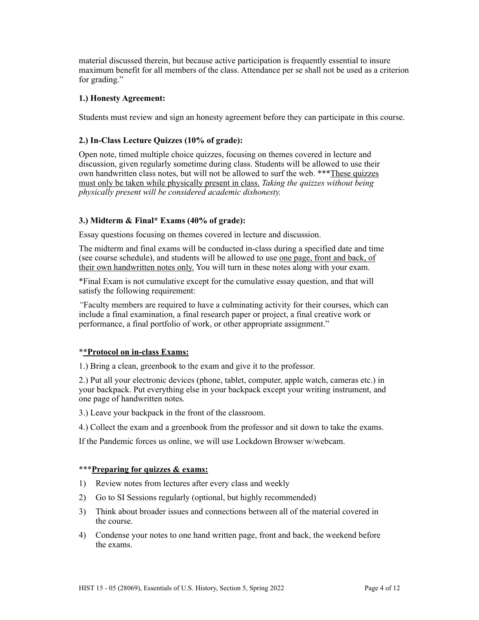material discussed therein, but because active participation is frequently essential to insure maximum benefit for all members of the class. Attendance per se shall not be used as a criterion for grading."

# **1.) Honesty Agreement:**

Students must review and sign an honesty agreement before they can participate in this course.

# **2.) In-Class Lecture Quizzes (10% of grade):**

Open note, timed multiple choice quizzes, focusing on themes covered in lecture and discussion, given regularly sometime during class. Students will be allowed to use their own handwritten class notes, but will not be allowed to surf the web. \*\*\*These quizzes must only be taken while physically present in class. *Taking the quizzes without being physically present will be considered academic dishonesty.*

# **3.) Midterm & Final\* Exams (40% of grade):**

Essay questions focusing on themes covered in lecture and discussion.

The midterm and final exams will be conducted in-class during a specified date and time (see course schedule), and students will be allowed to use one page, front and back, of their own handwritten notes only. You will turn in these notes along with your exam.

\*Final Exam is not cumulative except for the cumulative essay question, and that will satisfy the following requirement:

*"*Faculty members are required to have a culminating activity for their courses, which can include a final examination, a final research paper or project, a final creative work or performance, a final portfolio of work, or other appropriate assignment."

# \***\*Protocol on in-class Exams:**

1.) Bring a clean, greenbook to the exam and give it to the professor.

2.) Put all your electronic devices (phone, tablet, computer, apple watch, cameras etc.) in your backpack. Put everything else in your backpack except your writing instrument, and one page of handwritten notes.

3.) Leave your backpack in the front of the classroom.

4.) Collect the exam and a greenbook from the professor and sit down to take the exams.

If the Pandemic forces us online, we will use Lockdown Browser w/webcam.

# \*\*\***Preparing for quizzes & exams:**

- 1) Review notes from lectures after every class and weekly
- 2) Go to SI Sessions regularly (optional, but highly recommended)
- 3) Think about broader issues and connections between all of the material covered in the course.
- 4) Condense your notes to one hand written page, front and back, the weekend before the exams.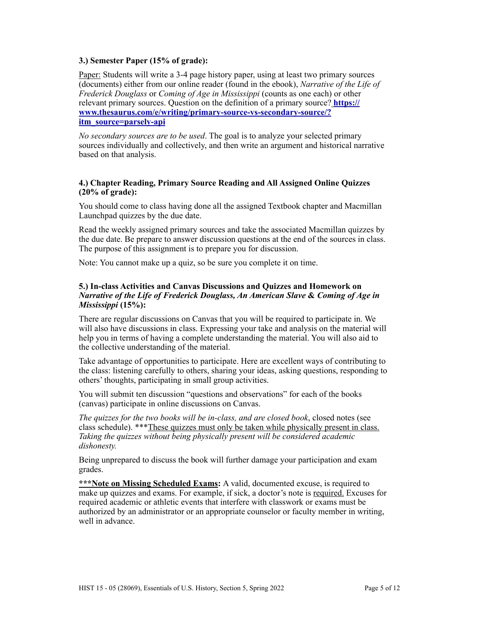# **3.) Semester Paper (15% of grade):**

Paper: Students will write a 3-4 page history paper, using at least two primary sources (documents) either from our online reader (found in the ebook), *Narrative of the Life of Frederick Douglass* or *Coming of Age in Mississippi* (counts as one each) or other relevant primary sources. Question on the definition of a primary source? **[https://](https://www.thesaurus.com/e/writing/primary-source-vs-secondary-source/?itm_source=parsely-api) [www.thesaurus.com/e/writing/primary-source-vs-secondary-source/?](https://www.thesaurus.com/e/writing/primary-source-vs-secondary-source/?itm_source=parsely-api) [itm\\_source=parsely-api](https://www.thesaurus.com/e/writing/primary-source-vs-secondary-source/?itm_source=parsely-api)**

*No secondary sources are to be used*. The goal is to analyze your selected primary sources individually and collectively, and then write an argument and historical narrative based on that analysis.

### **4.) Chapter Reading, Primary Source Reading and All Assigned Online Quizzes (20% of grade):**

You should come to class having done all the assigned Textbook chapter and Macmillan Launchpad quizzes by the due date.

Read the weekly assigned primary sources and take the associated Macmillan quizzes by the due date. Be prepare to answer discussion questions at the end of the sources in class. The purpose of this assignment is to prepare you for discussion.

Note: You cannot make up a quiz, so be sure you complete it on time.

### **5.) In-class Activities and Canvas Discussions and Quizzes and Homework on**  *Narrative of the Life of Frederick Douglass, An American Slave* **&** *Coming of Age in Mississippi* **(15%):**

There are regular discussions on Canvas that you will be required to participate in. We will also have discussions in class. Expressing your take and analysis on the material will help you in terms of having a complete understanding the material. You will also aid to the collective understanding of the material.

Take advantage of opportunities to participate. Here are excellent ways of contributing to the class: listening carefully to others, sharing your ideas, asking questions, responding to others' thoughts, participating in small group activities.

You will submit ten discussion "questions and observations" for each of the books (canvas) participate in online discussions on Canvas.

*The quizzes for the two books will be in-class, and are closed book*, closed notes (see class schedule). \*\*\*These quizzes must only be taken while physically present in class. *Taking the quizzes without being physically present will be considered academic dishonesty.*

Being unprepared to discuss the book will further damage your participation and exam grades.

\*\*\*Note on Missing Scheduled Exams: A valid, documented excuse, is required to make up quizzes and exams. For example, if sick, a doctor's note is required. Excuses for required academic or athletic events that interfere with classwork or exams must be authorized by an administrator or an appropriate counselor or faculty member in writing, well in advance.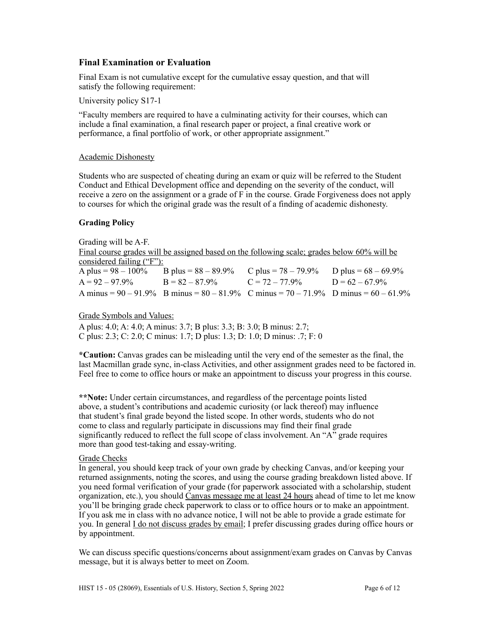# **Final Examination or Evaluation**

Final Exam is not cumulative except for the cumulative essay question, and that will satisfy the following requirement:

University policy S17-1

"Faculty members are required to have a culminating activity for their courses, which can include a final examination, a final research paper or project, a final creative work or performance, a final portfolio of work, or other appropriate assignment."

#### Academic Dishonesty

Students who are suspected of cheating during an exam or quiz will be referred to the Student Conduct and Ethical Development office and depending on the severity of the conduct, will receive a zero on the assignment or a grade of F in the course. Grade Forgiveness does not apply to courses for which the original grade was the result of a finding of academic dishonesty.

#### **Grading Policy**

Grading will be A-F. Final course grades will be assigned based on the following scale; grades below 60% will be considered failing ("F"):<br>A plus =  $98 - 100\%$ B plus =  $88 - 89.9\%$  C plus =  $78 - 79.9\%$  D plus =  $68 - 69.9\%$  $A = 92 - 97.9\%$  B =  $82 - 87.9\%$  C =  $72 - 77.9\%$  D =  $62 - 67.9\%$ A minus =  $90 - 91.9\%$  B minus =  $80 - 81.9\%$  C minus =  $70 - 71.9\%$  D minus =  $60 - 61.9\%$ 

# Grade Symbols and Values:

A plus: 4.0; A: 4.0; A minus: 3.7; B plus: 3.3; B: 3.0; B minus: 2.7; C plus: 2.3; C: 2.0; C minus: 1.7; D plus: 1.3; D: 1.0; D minus: .7; F: 0

**\*Caution:** Canvas grades can be misleading until the very end of the semester as the final, the last Macmillan grade sync, in-class Activities, and other assignment grades need to be factored in. Feel free to come to office hours or make an appointment to discuss your progress in this course.

**\*\*Note:** Under certain circumstances, and regardless of the percentage points listed above, a student's contributions and academic curiosity (or lack thereof) may influence that student's final grade beyond the listed scope. In other words, students who do not come to class and regularly participate in discussions may find their final grade significantly reduced to reflect the full scope of class involvement. An "A" grade requires more than good test-taking and essay-writing.

#### Grade Checks

In general, you should keep track of your own grade by checking Canvas, and/or keeping your returned assignments, noting the scores, and using the course grading breakdown listed above. If you need formal verification of your grade (for paperwork associated with a scholarship, student organization, etc.), you should Canvas message me at least 24 hours ahead of time to let me know you'll be bringing grade check paperwork to class or to office hours or to make an appointment. If you ask me in class with no advance notice, I will not be able to provide a grade estimate for you. In general I do not discuss grades by email; I prefer discussing grades during office hours or by appointment.

We can discuss specific questions/concerns about assignment/exam grades on Canvas by Canvas message, but it is always better to meet on Zoom.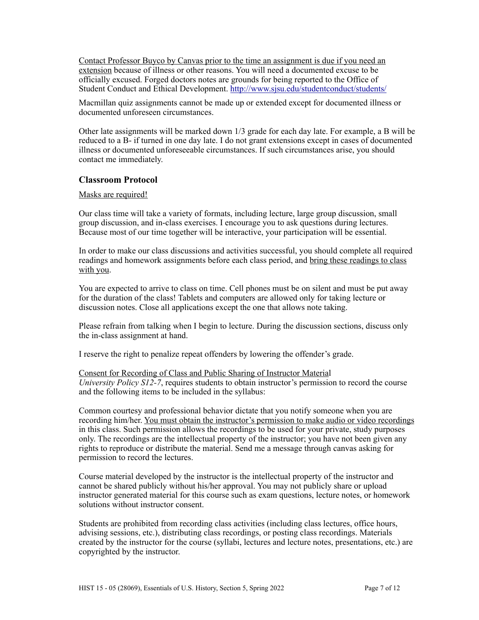Contact Professor Buyco by Canvas prior to the time an assignment is due if you need an extension because of illness or other reasons. You will need a documented excuse to be officially excused. Forged doctors notes are grounds for being reported to the Office of Student Conduct and Ethical Development.<http://www.sjsu.edu/studentconduct/students/>

Macmillan quiz assignments cannot be made up or extended except for documented illness or documented unforeseen circumstances.

Other late assignments will be marked down 1/3 grade for each day late. For example, a B will be reduced to a B- if turned in one day late. I do not grant extensions except in cases of documented illness or documented unforeseeable circumstances. If such circumstances arise, you should contact me immediately.

# **Classroom Protocol**

#### Masks are required!

Our class time will take a variety of formats, including lecture, large group discussion, small group discussion, and in-class exercises. I encourage you to ask questions during lectures. Because most of our time together will be interactive, your participation will be essential.

In order to make our class discussions and activities successful, you should complete all required readings and homework assignments before each class period, and bring these readings to class with you.

You are expected to arrive to class on time. Cell phones must be on silent and must be put away for the duration of the class! Tablets and computers are allowed only for taking lecture or discussion notes. Close all applications except the one that allows note taking.

Please refrain from talking when I begin to lecture. During the discussion sections, discuss only the in-class assignment at hand.

I reserve the right to penalize repeat offenders by lowering the offender's grade.

Consent for Recording of Class and Public Sharing of Instructor Material *University Policy S12-7*, requires students to obtain instructor's permission to record the course and the following items to be included in the syllabus:

Common courtesy and professional behavior dictate that you notify someone when you are recording him/her. You must obtain the instructor's permission to make audio or video recordings in this class. Such permission allows the recordings to be used for your private, study purposes only. The recordings are the intellectual property of the instructor; you have not been given any rights to reproduce or distribute the material. Send me a message through canvas asking for permission to record the lectures.

Course material developed by the instructor is the intellectual property of the instructor and cannot be shared publicly without his/her approval. You may not publicly share or upload instructor generated material for this course such as exam questions, lecture notes, or homework solutions without instructor consent.

Students are prohibited from recording class activities (including class lectures, office hours, advising sessions, etc.), distributing class recordings, or posting class recordings. Materials created by the instructor for the course (syllabi, lectures and lecture notes, presentations, etc.) are copyrighted by the instructor.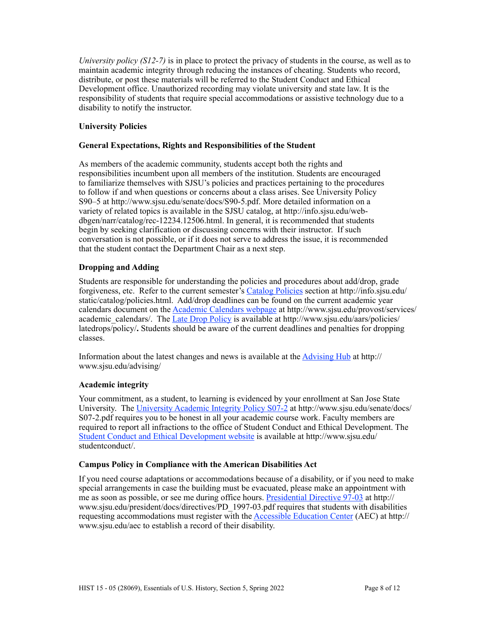*University policy (S12-7)* is in place to protect the privacy of students in the course, as well as to maintain academic integrity through reducing the instances of cheating. Students who record, distribute, or post these materials will be referred to the Student Conduct and Ethical Development office. Unauthorized recording may violate university and state law. It is the responsibility of students that require special accommodations or assistive technology due to a disability to notify the instructor.

# **University Policies**

# **General Expectations, Rights and Responsibilities of the Student**

As members of the academic community, students accept both the rights and responsibilities incumbent upon all members of the institution. Students are encouraged to familiarize themselves with SJSU's policies and practices pertaining to the procedures to follow if and when questions or concerns about a class arises. See University Policy S90–5 at http://www.sjsu.edu/senate/docs/S90-5.pdf. More detailed information on a variety of related topics is available in the SJSU catalog, at http://info.sjsu.edu/webdbgen/narr/catalog/rec-12234.12506.html. In general, it is recommended that students begin by seeking clarification or discussing concerns with their instructor. If such conversation is not possible, or if it does not serve to address the issue, it is recommended that the student contact the Department Chair as a next step.

# **Dropping and Adding**

Students are responsible for understanding the policies and procedures about add/drop, grade forgiveness, etc. Refer to the current semester's [Catalog Policies](http://info.sjsu.edu/static/catalog/policies.html) section at http://info.sjsu.edu/ static/catalog/policies.html. Add/drop deadlines can be found on the current academic year calendars document on the [Academic Calendars webpage](http://www.sjsu.edu/provost/services/academic_calendars/) at http://www.sjsu.edu/provost/services/ academic\_calendars/. The [Late Drop Policy](http://www.sjsu.edu/aars) is available at http://www.sjsu.edu/aars/policies/ latedrops/policy/**.** Students should be aware of the current deadlines and penalties for dropping classes.

Information about the latest changes and news is available at the [Advising Hub](http://www.sjsu.edu/advising/) at http:// www.sjsu.edu/advising/

# **Academic integrity**

Your commitment, as a student, to learning is evidenced by your enrollment at San Jose State University. The [University Academic Integrity Policy S07-2](http://www.sjsu.edu/senate/docs/S07-2.pdf) at http://www.sjsu.edu/senate/docs/ S07-2.pdf requires you to be honest in all your academic course work. Faculty members are required to report all infractions to the office of Student Conduct and Ethical Development. The [Student Conduct and Ethical Development website](http://www.sjsu.edu/studentconduct/) is available at http://www.sjsu.edu/ studentconduct/.

# **Campus Policy in Compliance with the American Disabilities Act**

If you need course adaptations or accommodations because of a disability, or if you need to make special arrangements in case the building must be evacuated, please make an appointment with me as soon as possible, or see me during office hours. [Presidential Directive 97-03](http://www.sjsu.edu/president/docs/directives/PD_1997-03.pdf) at http:// www.sjsu.edu/president/docs/directives/PD\_1997-03.pdf requires that students with disabilities requesting accommodations must register with the [Accessible Education Center](http://www.sjsu.edu/aec) (AEC) at http:// www.sjsu.edu/aec to establish a record of their disability.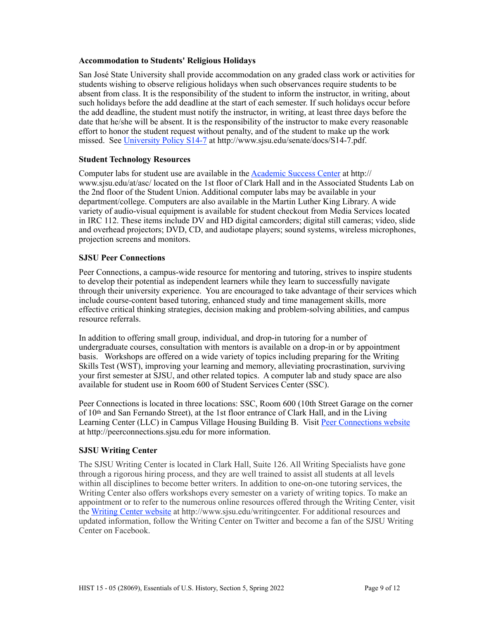### **Accommodation to Students' Religious Holidays**

San José State University shall provide accommodation on any graded class work or activities for students wishing to observe religious holidays when such observances require students to be absent from class. It is the responsibility of the student to inform the instructor, in writing, about such holidays before the add deadline at the start of each semester. If such holidays occur before the add deadline, the student must notify the instructor, in writing, at least three days before the date that he/she will be absent. It is the responsibility of the instructor to make every reasonable effort to honor the student request without penalty, and of the student to make up the work missed. See [University Policy S14-7](http://www.sjsu.edu/senate/docs/S14-7.pdf) at http://www.sjsu.edu/senate/docs/S14-7.pdf.

# **Student Technology Resources**

Computer labs for student use are available in the Academic Success Center at http:// www.sjsu.edu/at/asc/ located on the 1st floor of Clark Hall and in the Associated Students Lab on the 2nd floor of the Student Union. Additional computer labs may be available in your department/college. Computers are also available in the Martin Luther King Library. A wide variety of audio-visual equipment is available for student checkout from Media Services located in IRC 112. These items include DV and HD digital camcorders; digital still cameras; video, slide and overhead projectors; DVD, CD, and audiotape players; sound systems, wireless microphones, projection screens and monitors.

### **SJSU Peer Connections**

Peer Connections, a campus-wide resource for mentoring and tutoring, strives to inspire students to develop their potential as independent learners while they learn to successfully navigate through their university experience. You are encouraged to take advantage of their services which include course-content based tutoring, enhanced study and time management skills, more effective critical thinking strategies, decision making and problem-solving abilities, and campus resource referrals.

In addition to offering small group, individual, and drop-in tutoring for a number of undergraduate courses, consultation with mentors is available on a drop-in or by appointment basis. Workshops are offered on a wide variety of topics including preparing for the Writing Skills Test (WST), improving your learning and memory, alleviating procrastination, surviving your first semester at SJSU, and other related topics. A computer lab and study space are also available for student use in Room 600 of Student Services Center (SSC).

Peer Connections is located in three locations: SSC, Room 600 (10th Street Garage on the corner of 10th and San Fernando Street), at the 1st floor entrance of Clark Hall, and in the Living Learning Center (LLC) in Campus Village Housing Building B. Visit [Peer Connections website](http://peerconnections.sjsu.edu) at http://peerconnections.sjsu.edu for more information.

# **SJSU Writing Center**

The SJSU Writing Center is located in Clark Hall, Suite 126. All Writing Specialists have gone through a rigorous hiring process, and they are well trained to assist all students at all levels within all disciplines to become better writers. In addition to one-on-one tutoring services, the Writing Center also offers workshops every semester on a variety of writing topics. To make an appointment or to refer to the numerous online resources offered through the Writing Center, visit the [Writing Center website](http://www.sjsu.edu/writingcenter) at http://www.sjsu.edu/writingcenter. For additional resources and updated information, follow the Writing Center on Twitter and become a fan of the SJSU Writing Center on Facebook.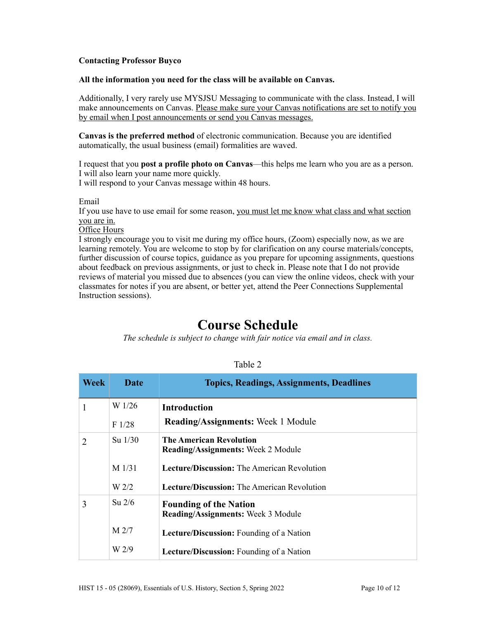# **Contacting Professor Buyco**

#### **All the information you need for the class will be available on Canvas.**

Additionally, I very rarely use MYSJSU Messaging to communicate with the class. Instead, I will make announcements on Canvas. Please make sure your Canvas notifications are set to notify you by email when I post announcements or send you Canvas messages.

**Canvas is the preferred method** of electronic communication. Because you are identified automatically, the usual business (email) formalities are waved.

I request that you **post a profile photo on Canvas**––this helps me learn who you are as a person. I will also learn your name more quickly. I will respond to your Canvas message within 48 hours.

Email

If you use have to use email for some reason, you must let me know what class and what section you are in.

Office Hours

I strongly encourage you to visit me during my office hours, (Zoom) especially now, as we are learning remotely. You are welcome to stop by for clarification on any course materials/concepts, further discussion of course topics, guidance as you prepare for upcoming assignments, questions about feedback on previous assignments, or just to check in. Please note that I do not provide reviews of material you missed due to absences (you can view the online videos, check with your classmates for notes if you are absent, or better yet, attend the Peer Connections Supplemental Instruction sessions).

# **Course Schedule**

*The schedule is subject to change with fair notice via email and in class.*

| <b>Week</b>    | Date             | <b>Topics, Readings, Assignments, Deadlines</b>                             |
|----------------|------------------|-----------------------------------------------------------------------------|
| 1              | W 1/26           | <b>Introduction</b>                                                         |
|                | F1/28            | <b>Reading/Assignments:</b> Week 1 Module                                   |
| $\overline{2}$ | $Su$ 1/30        | <b>The American Revolution</b><br><b>Reading/Assignments:</b> Week 2 Module |
|                | $M$ 1/31         | <b>Lecture/Discussion:</b> The American Revolution                          |
|                | W <sub>2/2</sub> | <b>Lecture/Discussion:</b> The American Revolution                          |
| 3              | $Su$ 2/6         | <b>Founding of the Nation</b><br><b>Reading/Assignments: Week 3 Module</b>  |
|                | M <sub>2/7</sub> | <b>Lecture/Discussion:</b> Founding of a Nation                             |
|                | W 2/9            | <b>Lecture/Discussion:</b> Founding of a Nation                             |

#### Table 2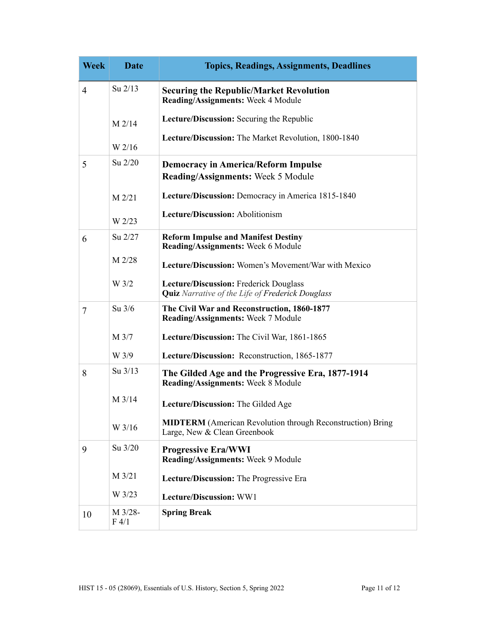| <b>Week</b>    | <b>Date</b>        | <b>Topics, Readings, Assignments, Deadlines</b>                                                   |
|----------------|--------------------|---------------------------------------------------------------------------------------------------|
| $\overline{4}$ | Su $2/13$          | <b>Securing the Republic/Market Revolution</b><br>Reading/Assignments: Week 4 Module              |
|                | $M$ 2/14           | Lecture/Discussion: Securing the Republic                                                         |
|                | W 2/16             | Lecture/Discussion: The Market Revolution, 1800-1840                                              |
| 5              | Su 2/20            | <b>Democracy in America/Reform Impulse</b><br><b>Reading/Assignments:</b> Week 5 Module           |
|                | $M$ 2/21           | Lecture/Discussion: Democracy in America 1815-1840                                                |
|                | W 2/23             | Lecture/Discussion: Abolitionism                                                                  |
| 6              | Su 2/27            | <b>Reform Impulse and Manifest Destiny</b><br>Reading/Assignments: Week 6 Module                  |
|                | $M$ 2/28           | Lecture/Discussion: Women's Movement/War with Mexico                                              |
|                | W 3/2              | Lecture/Discussion: Frederick Douglass<br><b>Quiz</b> Narrative of the Life of Frederick Douglass |
| $\tau$         | Su $3/6$           | The Civil War and Reconstruction, 1860-1877<br>Reading/Assignments: Week 7 Module                 |
|                | M 3/7              | Lecture/Discussion: The Civil War, 1861-1865                                                      |
|                | W 3/9              | Lecture/Discussion: Reconstruction, 1865-1877                                                     |
| 8              | Su 3/13            | The Gilded Age and the Progressive Era, 1877-1914<br><b>Reading/Assignments: Week 8 Module</b>    |
|                | M 3/14             | Lecture/Discussion: The Gilded Age                                                                |
|                | W 3/16             | <b>MIDTERM</b> (American Revolution through Reconstruction) Bring<br>Large, New & Clean Greenbook |
| 9              | Su 3/20            | <b>Progressive Era/WWI</b><br>Reading/Assignments: Week 9 Module                                  |
|                | $M$ 3/21           | Lecture/Discussion: The Progressive Era                                                           |
|                | W 3/23             | Lecture/Discussion: WW1                                                                           |
| 10             | $M$ 3/28-<br>F 4/1 | <b>Spring Break</b>                                                                               |